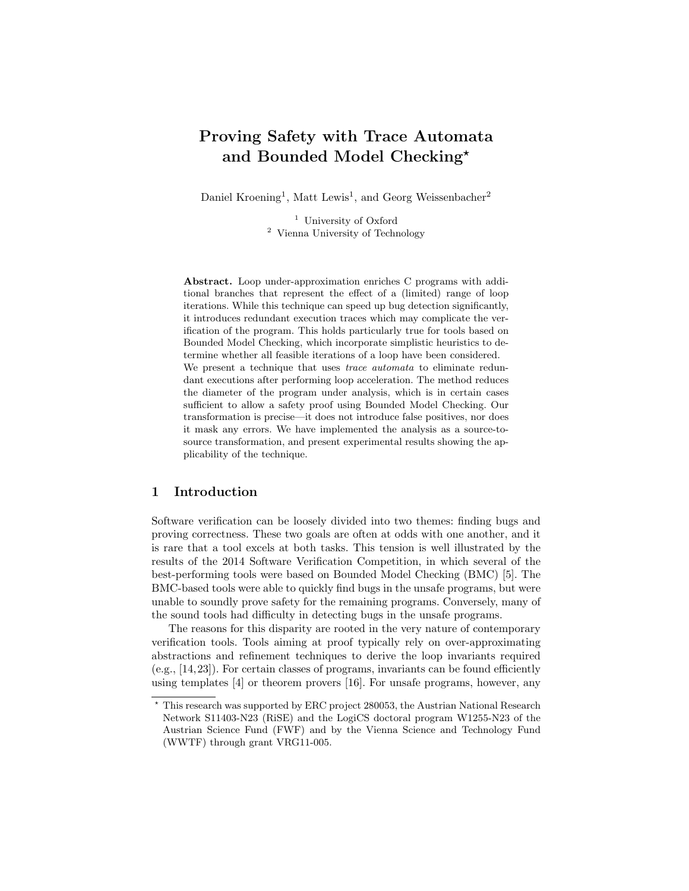# Proving Safety with Trace Automata and Bounded Model Checking\*

Daniel Kroening<sup>1</sup>, Matt Lewis<sup>1</sup>, and Georg Weissenbacher<sup>2</sup>

<sup>1</sup> University of Oxford <sup>2</sup> Vienna University of Technology

Abstract. Loop under-approximation enriches C programs with additional branches that represent the effect of a (limited) range of loop iterations. While this technique can speed up bug detection significantly, it introduces redundant execution traces which may complicate the verification of the program. This holds particularly true for tools based on Bounded Model Checking, which incorporate simplistic heuristics to determine whether all feasible iterations of a loop have been considered. We present a technique that uses *trace automata* to eliminate redundant executions after performing loop acceleration. The method reduces the diameter of the program under analysis, which is in certain cases sufficient to allow a safety proof using Bounded Model Checking. Our transformation is precise—it does not introduce false positives, nor does it mask any errors. We have implemented the analysis as a source-tosource transformation, and present experimental results showing the applicability of the technique.

#### 1 Introduction

Software verification can be loosely divided into two themes: finding bugs and proving correctness. These two goals are often at odds with one another, and it is rare that a tool excels at both tasks. This tension is well illustrated by the results of the 2014 Software Verification Competition, in which several of the best-performing tools were based on Bounded Model Checking (BMC) [5]. The BMC-based tools were able to quickly find bugs in the unsafe programs, but were unable to soundly prove safety for the remaining programs. Conversely, many of the sound tools had difficulty in detecting bugs in the unsafe programs.

The reasons for this disparity are rooted in the very nature of contemporary verification tools. Tools aiming at proof typically rely on over-approximating abstractions and refinement techniques to derive the loop invariants required (e.g., [14,23]). For certain classes of programs, invariants can be found efficiently using templates [4] or theorem provers [16]. For unsafe programs, however, any

<sup>?</sup> This research was supported by ERC project 280053, the Austrian National Research Network S11403-N23 (RiSE) and the LogiCS doctoral program W1255-N23 of the Austrian Science Fund (FWF) and by the Vienna Science and Technology Fund (WWTF) through grant VRG11-005.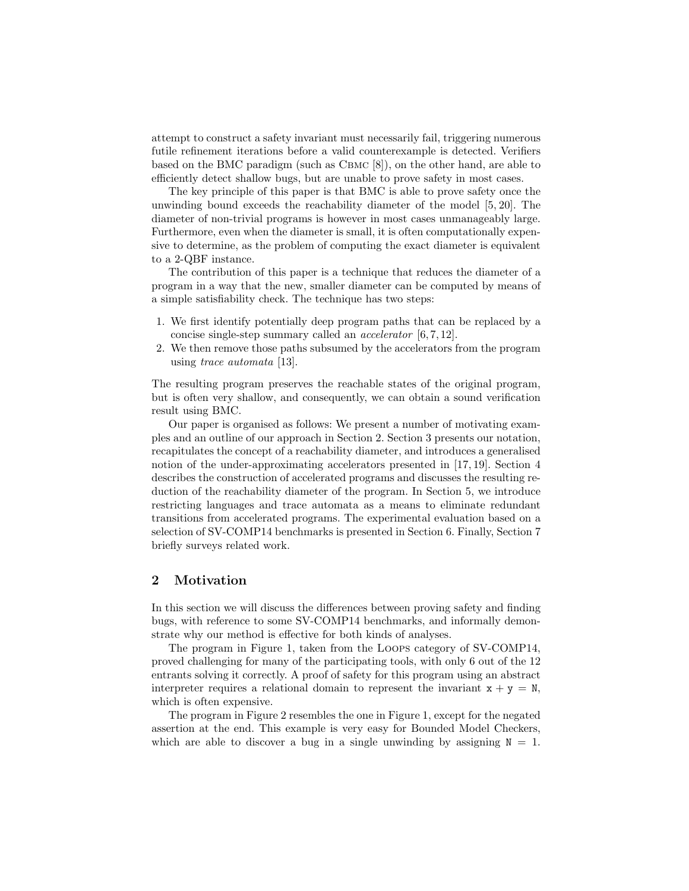attempt to construct a safety invariant must necessarily fail, triggering numerous futile refinement iterations before a valid counterexample is detected. Verifiers based on the BMC paradigm (such as Cbmc [8]), on the other hand, are able to efficiently detect shallow bugs, but are unable to prove safety in most cases.

The key principle of this paper is that BMC is able to prove safety once the unwinding bound exceeds the reachability diameter of the model [5, 20]. The diameter of non-trivial programs is however in most cases unmanageably large. Furthermore, even when the diameter is small, it is often computationally expensive to determine, as the problem of computing the exact diameter is equivalent to a 2-QBF instance.

The contribution of this paper is a technique that reduces the diameter of a program in a way that the new, smaller diameter can be computed by means of a simple satisfiability check. The technique has two steps:

- 1. We first identify potentially deep program paths that can be replaced by a concise single-step summary called an accelerator [6, 7, 12].
- 2. We then remove those paths subsumed by the accelerators from the program using trace automata [13].

The resulting program preserves the reachable states of the original program, but is often very shallow, and consequently, we can obtain a sound verification result using BMC.

Our paper is organised as follows: We present a number of motivating examples and an outline of our approach in Section 2. Section 3 presents our notation, recapitulates the concept of a reachability diameter, and introduces a generalised notion of the under-approximating accelerators presented in [17, 19]. Section 4 describes the construction of accelerated programs and discusses the resulting reduction of the reachability diameter of the program. In Section 5, we introduce restricting languages and trace automata as a means to eliminate redundant transitions from accelerated programs. The experimental evaluation based on a selection of SV-COMP14 benchmarks is presented in Section 6. Finally, Section 7 briefly surveys related work.

## 2 Motivation

In this section we will discuss the differences between proving safety and finding bugs, with reference to some SV-COMP14 benchmarks, and informally demonstrate why our method is effective for both kinds of analyses.

The program in Figure 1, taken from the Loops category of SV-COMP14, proved challenging for many of the participating tools, with only 6 out of the 12 entrants solving it correctly. A proof of safety for this program using an abstract interpreter requires a relational domain to represent the invariant  $x + y = N$ , which is often expensive.

The program in Figure 2 resembles the one in Figure 1, except for the negated assertion at the end. This example is very easy for Bounded Model Checkers, which are able to discover a bug in a single unwinding by assigning  $N = 1$ .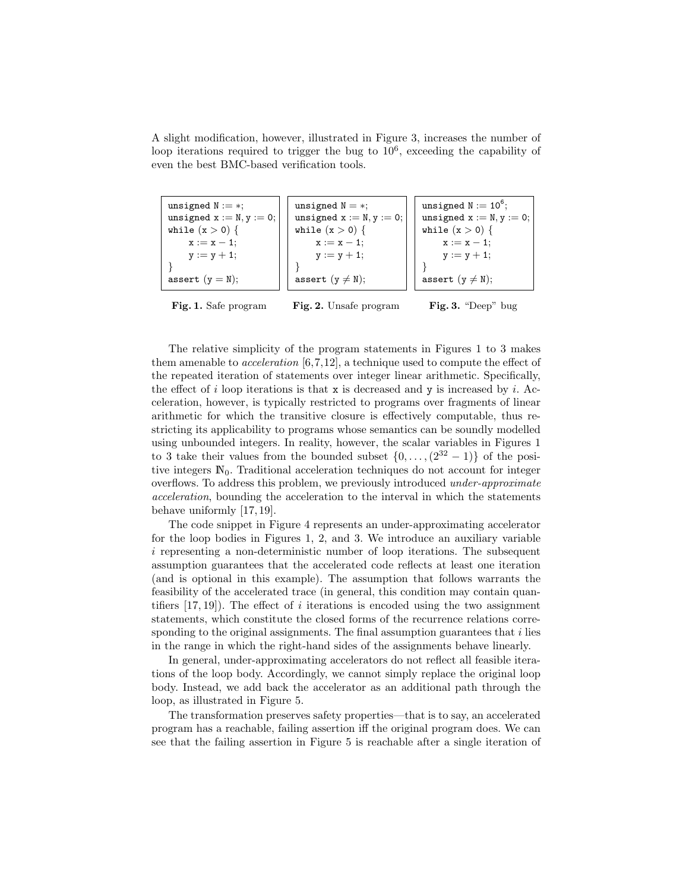A slight modification, however, illustrated in Figure 3, increases the number of loop iterations required to trigger the bug to  $10^6$ , exceeding the capability of even the best BMC-based verification tools.

| unsigned $N := *$ ;         | unsigned $N = *$ ;          | unsigned $N := 10^6$ ;      |
|-----------------------------|-----------------------------|-----------------------------|
| unsigned $x := N, y := 0$ ; | unsigned $x := N, y := 0$ ; | unsigned $x := N, y := 0$ ; |
| while $(x > 0)$ {           | while $(x > 0)$ {           | while $(x > 0)$ {           |
| $x := x - 1$                | $x := x - 1$ ;              | $x := x - 1$ :              |
| $y := y + 1$ ;              | $y := y + 1$ ;              | $y := y + 1$ ;              |
|                             |                             |                             |
| assert $(y = N)$ ;          | assert $(y \neq N)$ ;       | assert $(y \neq N)$ ;       |

Fig. 1. Safe program

Fig. 2. Unsafe program

Fig. 3. "Deep" bug

The relative simplicity of the program statements in Figures 1 to 3 makes them amenable to acceleration [6,7,12], a technique used to compute the effect of the repeated iteration of statements over integer linear arithmetic. Specifically, the effect of i loop iterations is that  $x$  is decreased and  $y$  is increased by i. Acceleration, however, is typically restricted to programs over fragments of linear arithmetic for which the transitive closure is effectively computable, thus restricting its applicability to programs whose semantics can be soundly modelled using unbounded integers. In reality, however, the scalar variables in Figures 1 to 3 take their values from the bounded subset  $\{0, \ldots, (2^{32} - 1)\}\$  of the positive integers  $\mathbb{N}_0$ . Traditional acceleration techniques do not account for integer overflows. To address this problem, we previously introduced under-approximate acceleration, bounding the acceleration to the interval in which the statements behave uniformly [17, 19].

The code snippet in Figure 4 represents an under-approximating accelerator for the loop bodies in Figures 1, 2, and 3. We introduce an auxiliary variable i representing a non-deterministic number of loop iterations. The subsequent assumption guarantees that the accelerated code reflects at least one iteration (and is optional in this example). The assumption that follows warrants the feasibility of the accelerated trace (in general, this condition may contain quantifiers  $[17, 19]$ . The effect of i iterations is encoded using the two assignment statements, which constitute the closed forms of the recurrence relations corresponding to the original assignments. The final assumption guarantees that  $i$  lies in the range in which the right-hand sides of the assignments behave linearly.

In general, under-approximating accelerators do not reflect all feasible iterations of the loop body. Accordingly, we cannot simply replace the original loop body. Instead, we add back the accelerator as an additional path through the loop, as illustrated in Figure 5.

The transformation preserves safety properties—that is to say, an accelerated program has a reachable, failing assertion iff the original program does. We can see that the failing assertion in Figure 5 is reachable after a single iteration of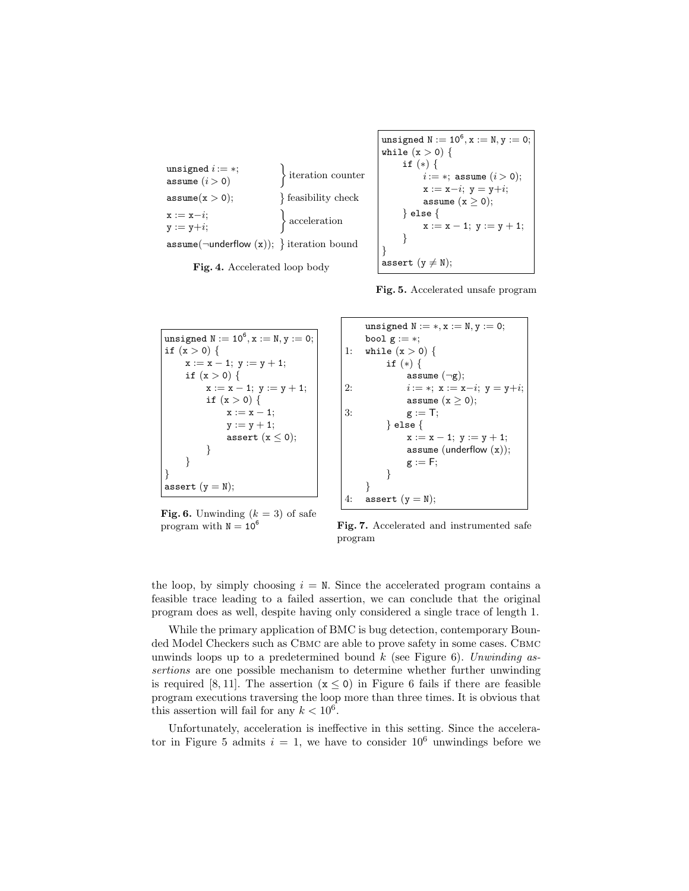$$
\begin{array}{c}\n\text{unsigned } i := *; \\
\text{assume } (i > 0) \\
\text{assume } (i > 0) \\
\text{assume } (x > 0); \\
\text{assume } (x > 0); \\
\text{assume } (x > 0); \\
\text{assume } (x > 0); \\
\text{assume } (x > 0); \\
\text{assume } (x > 0); \\
\text{assume } (x > 0); \\
\text{figure } (x > 0); \\
\text{average } (x > 0); \\
\text{average } (x > 0); \\
\text{average } (x > 0); \\
\text{average } (x > 0); \\
\text{average } (x > 0); \\
\text{average } (x > 0); \\
\text{average } (x > 0); \\
\text{average } (x > 0); \\
\text{average } (x > 0); \\
\text{average } (x > 0); \\
\text{average } (x > 0); \\
\text{average } (x > 0); \\
\text{average } (x > 0); \\
\text{average } (x > 0); \\
\text{average } (x > 0); \\
\text{average } (x > 0); \\
\text{average } (x > 0); \\
\text{average } (x > 0); \\
\text{average } (x > 0); \\
\text{average } (x > 0); \\
\text{average } (x > 0); \\
\text{average } (x > 0); \\
\text{average } (x > 0); \\
\text{average } (x > 0); \\
\text{average } (x > 0); \\
\text{average } (x > 0); \\
\text{average } (x > 0); \\
\text{average } (x > 0); \\
\text{average } (x > 0); \\
\text{average } (x > 0); \\
\text{average } (x > 0); \\
\text{average } (x > 0); \\
\text{average } (x > 0); \\
\text{average } (x > 0); \\
\text{average } (x > 0); \\
\text{average } (x > 0); \\
\text{average } (x > 0); \\
\text{average } (x > 0); \\
\text{average } (x > 0); \\
\text{average } (x > 0); \\
\text{average } (x > 0); \\
\text{average } (x > 0); \\
\text{average } (x > 0);
$$

Fig. 4. Accelerated loop body

Fig. 5. Accelerated unsafe program

```
\texttt{unsigned N} := \texttt{10}^6, \texttt{x} := \texttt{N}, \texttt{y} := \texttt{0};if (x > 0) {
       \mathtt{x} := \mathtt{x} - \mathtt{1}; \ \mathtt{y} := \mathtt{y} + \mathtt{1};if (x > 0) {
               x := x - 1; y := y + 1;
               if (x > 0) {
                       x := x - 1;y := y + 1;assert (x \leq 0);
               }
       }
}
assert (y = N);
```
Fig. 6. Unwinding  $(k = 3)$  of safe program with  $N = 10^6$ 

```
unsigned N := *, x := N, y := 0;bool g := *;1: while (x > 0) {
        if (∗) {
            assume (¬g);
2: i := *, x := x - i; y = y + i;assume (x \ge 0);
3: g := T;} else {
            x := x - 1; y := y + 1;
            assume (underflow (x));
            g := F;
        }
    }
4: assert (y = N);
```
Fig. 7. Accelerated and instrumented safe program

the loop, by simply choosing  $i = N$ . Since the accelerated program contains a feasible trace leading to a failed assertion, we can conclude that the original program does as well, despite having only considered a single trace of length 1.

While the primary application of BMC is bug detection, contemporary Bounded Model Checkers such as CBMC are able to prove safety in some cases. CBMC unwinds loops up to a predetermined bound  $k$  (see Figure 6). Unwinding assertions are one possible mechanism to determine whether further unwinding is required [8, 11]. The assertion  $(x \le 0)$  in Figure 6 fails if there are feasible program executions traversing the loop more than three times. It is obvious that this assertion will fail for any  $k < 10^6$ .

Unfortunately, acceleration is ineffective in this setting. Since the accelerator in Figure 5 admits  $i = 1$ , we have to consider  $10^6$  unwindings before we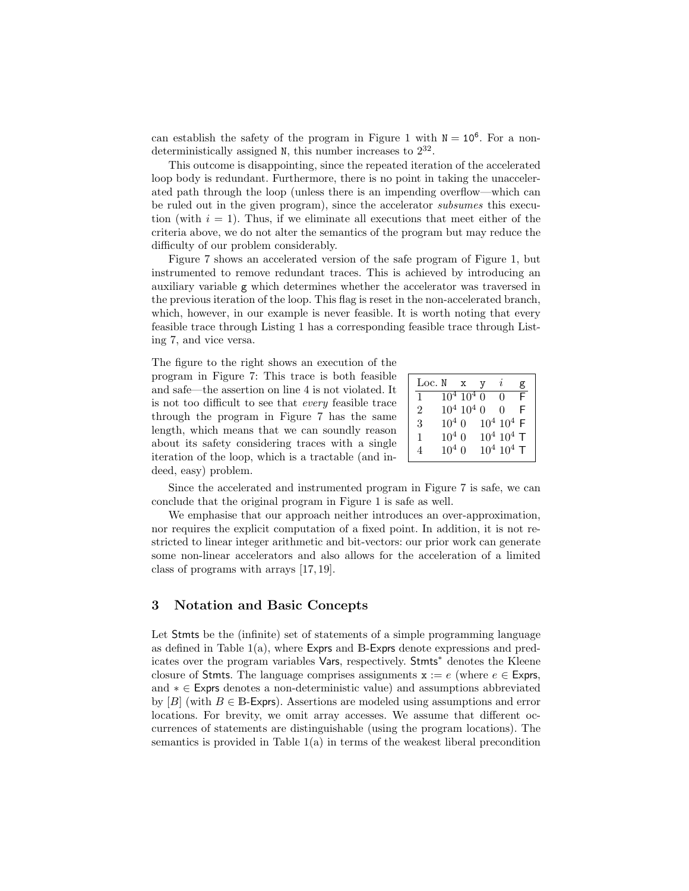can establish the safety of the program in Figure 1 with  $N = 10^6$ . For a nondeterministically assigned N, this number increases to  $2^{32}$ .

This outcome is disappointing, since the repeated iteration of the accelerated loop body is redundant. Furthermore, there is no point in taking the unaccelerated path through the loop (unless there is an impending overflow—which can be ruled out in the given program), since the accelerator subsumes this execution (with  $i = 1$ ). Thus, if we eliminate all executions that meet either of the criteria above, we do not alter the semantics of the program but may reduce the difficulty of our problem considerably.

Figure 7 shows an accelerated version of the safe program of Figure 1, but instrumented to remove redundant traces. This is achieved by introducing an auxiliary variable g which determines whether the accelerator was traversed in the previous iteration of the loop. This flag is reset in the non-accelerated branch, which, however, in our example is never feasible. It is worth noting that every feasible trace through Listing 1 has a corresponding feasible trace through Listing 7, and vice versa.

The figure to the right shows an execution of the program in Figure 7: This trace is both feasible and safe—the assertion on line 4 is not violated. It is not too difficult to see that every feasible trace through the program in Figure 7 has the same length, which means that we can soundly reason about its safety considering traces with a single iteration of the loop, which is a tractable (and indeed, easy) problem.

| Loc. N         |          | x                        | I,                       | g |
|----------------|----------|--------------------------|--------------------------|---|
| 1              |          | $10^4$ 10 <sup>4</sup> 0 | $\Omega$                 | Ė |
| $\overline{2}$ |          | $10^4$ 10 <sup>4</sup> 0 | ∩                        | F |
| 3              | $10^4$ 0 |                          | $10^4$ $10^4$ F          |   |
| 1              | $10^4$ 0 |                          | $10^4$ $10^4$ T          |   |
| 4              | $10^4$ 0 |                          | $10^4$ 10 <sup>4</sup> T |   |

Since the accelerated and instrumented program in Figure 7 is safe, we can conclude that the original program in Figure 1 is safe as well.

We emphasise that our approach neither introduces an over-approximation, nor requires the explicit computation of a fixed point. In addition, it is not restricted to linear integer arithmetic and bit-vectors: our prior work can generate some non-linear accelerators and also allows for the acceleration of a limited class of programs with arrays [17, 19].

## 3 Notation and Basic Concepts

Let Stmts be the (infinite) set of statements of a simple programming language as defined in Table  $1(a)$ , where Exprs and B-Exprs denote expressions and predicates over the program variables Vars, respectively. Stmts<sup>\*</sup> denotes the Kleene closure of Stmts. The language comprises assignments  $x := e$  (where  $e \in$  Exprs, and ∗ ∈ Exprs denotes a non-deterministic value) and assumptions abbreviated by [B] (with  $B \in \mathbb{B}$ -Exprs). Assertions are modeled using assumptions and error locations. For brevity, we omit array accesses. We assume that different occurrences of statements are distinguishable (using the program locations). The semantics is provided in Table  $1(a)$  in terms of the weakest liberal precondition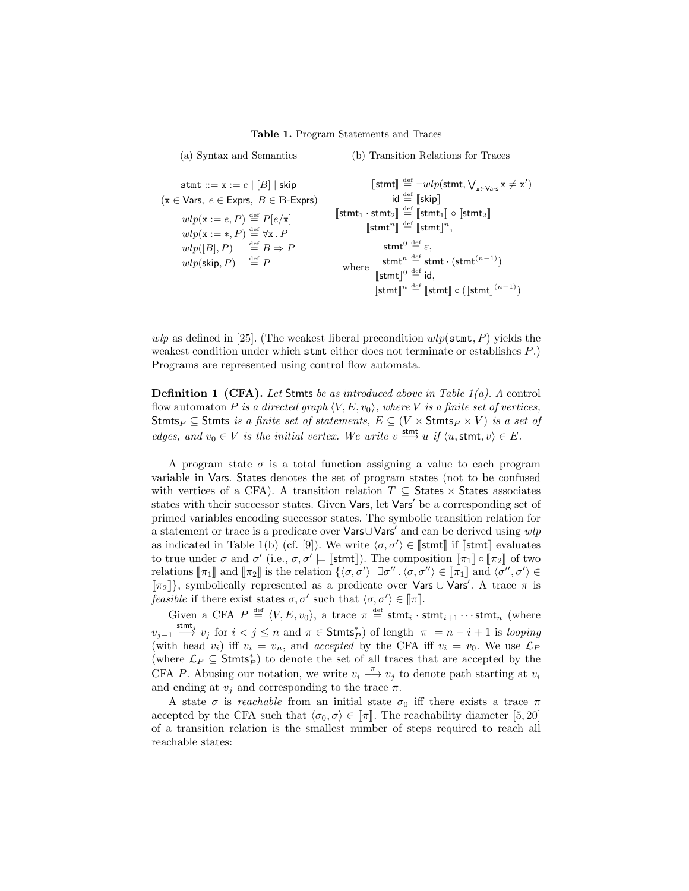| (a) Syntax and Semantics                                                                                                                                                                                                                                                                                                                                                                 | (b) Transition Relations for Traces                                                                                                                                                                                                                                                                                                                                                                                                                                                                                                                                                                                                                                                                                                                                                                                                                   |
|------------------------------------------------------------------------------------------------------------------------------------------------------------------------------------------------------------------------------------------------------------------------------------------------------------------------------------------------------------------------------------------|-------------------------------------------------------------------------------------------------------------------------------------------------------------------------------------------------------------------------------------------------------------------------------------------------------------------------------------------------------------------------------------------------------------------------------------------------------------------------------------------------------------------------------------------------------------------------------------------------------------------------------------------------------------------------------------------------------------------------------------------------------------------------------------------------------------------------------------------------------|
| stmt ::= $x := e \mid  B $   skip<br>$(x \in \text{Vars}, e \in \text{Express}, B \in \mathbb{B} \text{-Express})$<br>$wlp(\mathbf{x} := e, P) \stackrel{\text{def}}{=} P[e/\mathbf{x}]$<br>$wlp(\mathbf{x} := \ast, P) \stackrel{\text{def}}{=} \forall \mathbf{x} . P$<br>$wlp([B], P) \stackrel{\text{def}}{=} B \Rightarrow P$<br>$wlp(\textsf{skip}, P) \stackrel{\text{def}}{=} P$ | $\llbracket \mathsf{stmt} \rrbracket \stackrel{\text{def}}{=} \neg wlp(\mathsf{stmt}, \bigvee_{x \in \mathsf{Vars}} x \neq x')$<br>$id \stackrel{\text{def}}{=}$ [skip]<br>$\llbracket \mathsf{stmt}_1 \cdot \mathsf{stmt}_2 \rrbracket \stackrel{\text{def}}{=} \llbracket \mathsf{stmt}_1 \rrbracket \circ \llbracket \mathsf{stmt}_2 \rrbracket$<br>$\llbracket \mathsf{stmt}^n \rrbracket \stackrel{\text{def}}{=} \llbracket \mathsf{stmt} \rrbracket^n,$<br>stmt <sup>0</sup> $\stackrel{\text{def}}{=} \varepsilon$ .<br>stmt <sup>n</sup> $\stackrel{\text{def}}{=}$ stmt · (stmt <sup>(n-1)</sup> )<br>where<br>$\llbracket$ stmt $\rrbracket^0 \stackrel{\text{def}}{=} \mathsf{id},$<br>$\llbracket \text{stmt} \rrbracket^n \stackrel{\text{def}}{=} \llbracket \text{stmt} \rrbracket \circ (\llbracket \text{stmt} \rrbracket^{(n-1)})$ |
|                                                                                                                                                                                                                                                                                                                                                                                          |                                                                                                                                                                                                                                                                                                                                                                                                                                                                                                                                                                                                                                                                                                                                                                                                                                                       |

wlp as defined in [25]. (The weakest liberal precondition  $wlp(\text{stmt}, P)$  yields the weakest condition under which stmt either does not terminate or establishes P.) Programs are represented using control flow automata.

**Definition 1 (CFA).** Let Stmts be as introduced above in Table  $1(a)$ . A control flow automaton P is a directed graph  $\langle V, E, v_0 \rangle$ , where V is a finite set of vertices, Stmts $_P \subseteq$  Stmts is a finite set of statements,  $E \subseteq (V \times$  Stmts $_P \times V)$  is a set of edges, and  $v_0 \in V$  is the initial vertex. We write  $v \stackrel{\text{stmt}}{\longrightarrow} u$  if  $\langle u, \text{stmt}, v \rangle \in E$ .

A program state  $\sigma$  is a total function assigning a value to each program variable in Vars. States denotes the set of program states (not to be confused with vertices of a CFA). A transition relation  $T \subseteq$  States  $\times$  States associates states with their successor states. Given Vars, let Vars' be a corresponding set of primed variables encoding successor states. The symbolic transition relation for a statement or trace is a predicate over  $\mathsf{Vars}'$  and can be derived using  $wlp$ as indicated in Table 1(b) (cf. [9]). We write  $\langle \sigma, \sigma' \rangle \in [\text{stmt}]$  if  $[\text{stmt}]$  evaluates<br>to true under  $\sigma$  and  $\sigma'$  (i.e.  $\sigma$   $\sigma'$   $\vdash$   $[\text{format}])$ ). The composition  $[\![\pi,\ ]\!]$  of  $[\![\pi,\ ]\!]$  of two to true under  $\sigma$  and  $\sigma'$  (i.e.,  $\sigma, \sigma' \models [\text{stmt}])$ . The composition  $[\![\pi_1]\!] \circ [\![\pi_2]\!]$  of two<br>relations  $[\![\pi_1]\!]$  and  $[\![\pi_1]\!]$  is the relation  $[(\sigma, \sigma') \ ] \exists \sigma'' \ (\sigma, \sigma'') \in [\![\pi_1]\!]$  and  $(\sigma'' \ \sigma') \subset$ relations  $[\![\pi_1]\!]$  and  $[\![\pi_2]\!]$  is the relation  $\{\langle \sigma, \sigma' \rangle | \exists \sigma'', \langle \sigma, \sigma'' \rangle \in [\![\pi_1]\!]$  and  $\langle \sigma'', \sigma' \rangle \in [\![\pi_1]\!]$  are sumplemented as a product cover  $\forall$  and  $\forall \sigma' \in \mathcal{A}$  trace  $\pi$  is  $[\![\pi_2]\!]$ , symbolically represented as a predicate over Vars ∪ Vars'. A trace  $\pi$  is facable if there over takes  $\pi \sigma'$  such that  $\langle \pi \sigma' \rangle \subset [\![\pi]\!]$ feasible if there exist states  $\sigma, \sigma'$  such that  $\langle \sigma, \sigma' \rangle \in [\![\pi]\!]$ .

Given a CFA  $P \stackrel{\text{def}}{=} \langle V, E, v_0 \rangle$ , a trace  $\pi \stackrel{\text{def}}{=} \mathsf{stmt}_i \cdot \mathsf{stmt}_{i+1} \cdots \mathsf{stmt}_n$  (where  $v_{j-1} \stackrel{\text{stmt}_j}{\longrightarrow} v_j$  for  $i < j \leq n$  and  $\pi \in \text{Stmts}_P^*$ ) of length  $|\pi| = n - i + 1$  is looping (with head  $v_i$ ) iff  $v_i = v_n$ , and accepted by the CFA iff  $v_i = v_0$ . We use  $\mathcal{L}_P$ (where  $\mathcal{L}_P \subseteq$  Stmts<sup>\*</sup><sub>P</sub>) to denote the set of all traces that are accepted by the CFA P. Abusing our notation, we write  $v_i \stackrel{\pi}{\longrightarrow} v_j$  to denote path starting at  $v_i$ and ending at  $v_j$  and corresponding to the trace  $\pi$ .

A state  $\sigma$  is *reachable* from an initial state  $\sigma_0$  iff there exists a trace  $\pi$ accepted by the CFA such that  $\langle \sigma_0, \sigma \rangle \in [\pi]$ . The reachability diameter [5, 20] of a transition relation is the smallest number of steps required to reach all reachable states: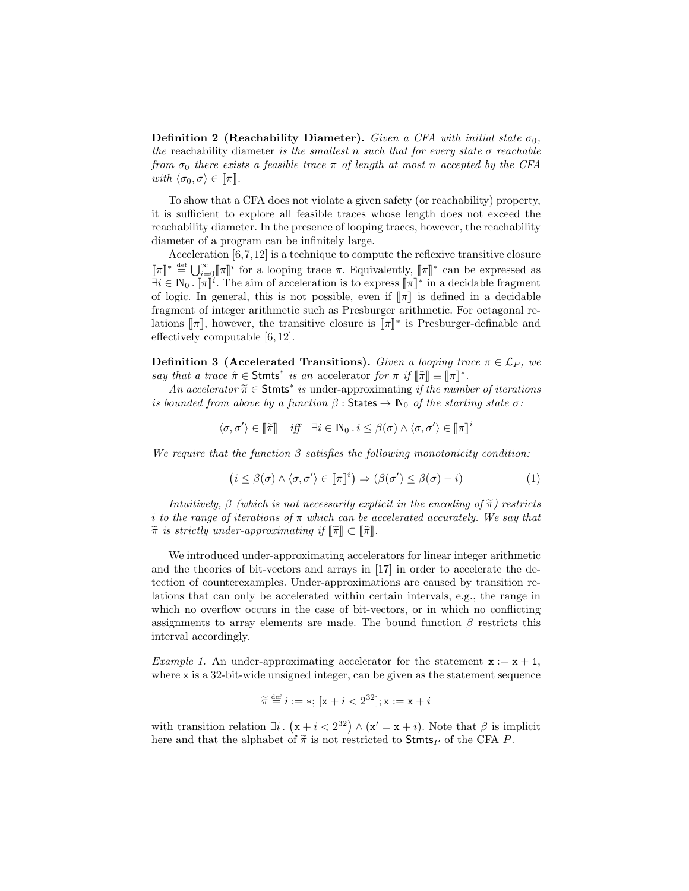**Definition 2 (Reachability Diameter).** Given a CFA with initial state  $\sigma_0$ , the reachability diameter is the smallest n such that for every state  $\sigma$  reachable from  $\sigma_0$  there exists a feasible trace  $\pi$  of length at most n accepted by the CFA with  $\langle \sigma_0, \sigma \rangle \in [\![\pi]\!]$ .

To show that a CFA does not violate a given safety (or reachability) property, it is sufficient to explore all feasible traces whose length does not exceed the reachability diameter. In the presence of looping traces, however, the reachability diameter of a program can be infinitely large.

Acceleration [6,7,12] is a technique to compute the reflexive transitive closure  $[\![\pi]\!]^* \stackrel{\text{def}}{=} \bigcup_{i=0}^{\infty} [\![\pi]\!]^i$  for a looping trace  $\pi$ . Equivalently,  $[\![\pi]\!]^*$  can be expressed as  $\exists i \in \mathbb{N}$ .  $[\![\pi]\!]^i$  The sim of eccleration is to express  $[\![\pi]\!]^*$  in a decideble fraction  $\exists i \in \mathbb{N}_0$ .  $[\![\pi]\!]^i$ . The aim of acceleration is to express  $[\![\pi]\!]^*$  in a decidable fragment of logic In concrete this is not possible even if  $[\![\pi]\!]$  is defined in a decideble of logic. In general, this is not possible, even if  $\llbracket \pi \rrbracket$  is defined in a decidable fragment of integer arithmetic such as Presburger arithmetic. For octagonal relations  $\llbracket \pi \rrbracket$ , however, the transitive closure is  $\llbracket \pi \rrbracket^*$  is Presburger-definable and effectively computable [6, 12].

**Definition 3 (Accelerated Transitions).** Given a looping trace  $\pi \in \mathcal{L}_P$ , we say that a trace  $\hat{\pi} \in$  Stmts<sup>\*</sup> is an accelerator for  $\pi$  if  $[\![\hat{\pi}]\!] \equiv [\![\pi]\!]^*$ .<br>An accelerator  $\tilde{\pi} \in$  Stmts<sup>\*</sup> is under approximating if the number

An accelerator  $\widetilde{\pi} \in$  Stmts<sup>\*</sup> is under-approximating if the number of iterations<br>counded from above by a function  $\beta$ : States  $\rightarrow$  N<sub>n</sub> of the starting state  $\sigma$ : is bounded from above by a function  $\beta$ : States  $\rightarrow$  N<sub>0</sub> of the starting state  $\sigma$ :

$$
\langle \sigma, \sigma' \rangle \in [\![\widetilde{\pi}]\!] \quad \text{iff} \quad \exists i \in \mathbb{N}_0 \, . \, i \leq \beta(\sigma) \land \langle \sigma, \sigma' \rangle \in [\![\pi]\!]^i
$$

We require that the function  $\beta$  satisfies the following monotonicity condition:

$$
(i \leq \beta(\sigma) \land \langle \sigma, \sigma' \rangle \in [\![\pi]\!]^i) \Rightarrow (\beta(\sigma') \leq \beta(\sigma) - i)
$$
\n(1)

Intuitively,  $\beta$  (which is not necessarily explicit in the encoding of  $\tilde{\pi}$ ) restricts i to the range of iterations of  $\pi$  which can be accelerated accurately. We say that  $\widetilde{\pi}$  is strictly under-approximating if  $\llbracket \widetilde{\pi} \rrbracket \subset \llbracket \widehat{\pi} \rrbracket$ .

We introduced under-approximating accelerators for linear integer arithmetic and the theories of bit-vectors and arrays in [17] in order to accelerate the detection of counterexamples. Under-approximations are caused by transition relations that can only be accelerated within certain intervals, e.g., the range in which no overflow occurs in the case of bit-vectors, or in which no conflicting assignments to array elements are made. The bound function  $\beta$  restricts this interval accordingly.

*Example 1.* An under-approximating accelerator for the statement  $x := x + 1$ , where x is a 32-bit-wide unsigned integer, can be given as the statement sequence

$$
\widetilde{\pi} \stackrel{\text{def}}{=} i := *; [x + i < 2^{32}]; x := x + i
$$

with transition relation  $\exists i$ .  $(x + i < 2^{32}) \wedge (x' = x + i)$ . Note that  $\beta$  is implicit here and that the alphabet of  $\tilde{\pi}$  is not restricted to Stmts<sub>P</sub> of the CFA P.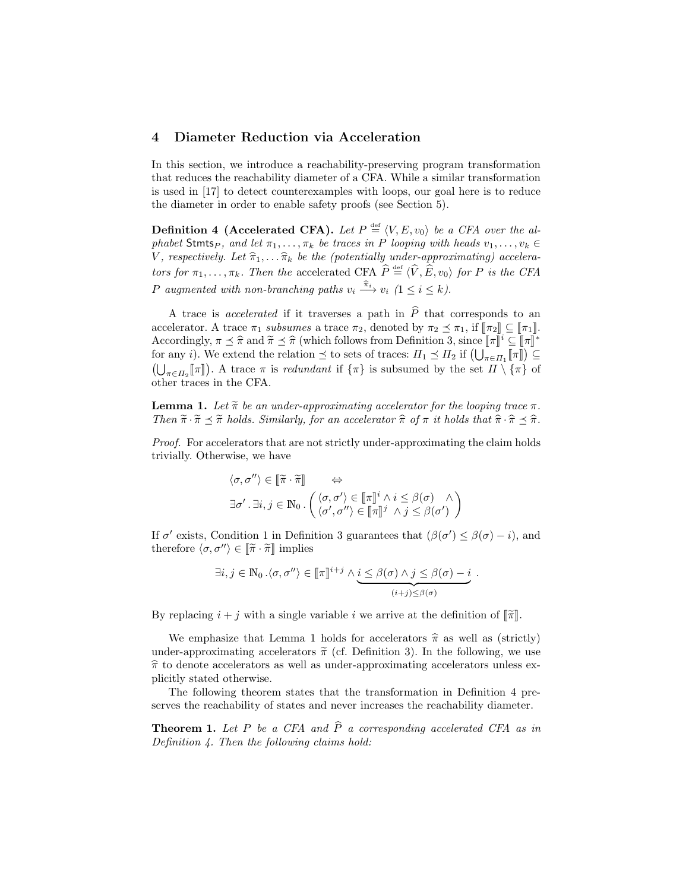### 4 Diameter Reduction via Acceleration

In this section, we introduce a reachability-preserving program transformation that reduces the reachability diameter of a CFA. While a similar transformation is used in [17] to detect counterexamples with loops, our goal here is to reduce the diameter in order to enable safety proofs (see Section 5).

**Definition 4 (Accelerated CFA).** Let  $P \stackrel{\text{def}}{=} \langle V, E, v_0 \rangle$  be a CFA over the alphabet Stmts<sub>P</sub>, and let  $\pi_1, \ldots, \pi_k$  be traces in P looping with heads  $v_1, \ldots, v_k \in$ V, respectively. Let  $\hat{\pi}_1, \dots, \hat{\pi}_k$  be the (potentially under-approximating) accelerators for  $\pi_1, \ldots, \pi_k$ . Then the accelerated CFA  $\widehat{P} \stackrel{\text{def}}{=} \langle \widehat{V}, \widehat{E}, v_0 \rangle$  for P is the CFA P augmented with non-branching paths  $v_i \xrightarrow{\hat{\pi}_i} v_i$   $(1 \leq i \leq k)$ .

A trace is *accelerated* if it traverses a path in  $\hat{P}$  that corresponds to an accelerator. A trace  $\pi_1$  subsumes a trace  $\pi_2$ , denoted by  $\pi_2 \preceq \pi_1$ , if  $[\![\pi_2]\!] \subseteq [\![\pi_1]\!]$ . Accordingly,  $\pi \preceq \hat{\pi}$  and  $\tilde{\pi} \preceq \hat{\pi}$  (which follows from Definition 3, since  $[\![\pi]\!]^i \subseteq [\![\pi]\!]^*$ )<br>for any *i*). We extend the relation  $\preceq$  to sets of traces:  $H_i \preceq H_i$  if  $(1, 1, \dots, \mathbb{F}_n)$ for any *i*). We extend the relation  $\preceq$  to sets of traces:  $\Pi_1 \preceq \Pi_2$  if  $(\bigcup_{\pi \in \Pi_1} [\![\pi]\!]) \subseteq$  $\left(\bigcup_{\pi \in \Pi_2} [\![\pi]\!]\right)$ . A trace  $\pi$  is redundant if  $\{\pi\}$  is subsumed by the set  $\Pi \setminus \{\pi\}$  of other traces in the CFA other traces in the CFA.

**Lemma 1.** Let  $\tilde{\pi}$  be an under-approximating accelerator for the looping trace  $\pi$ . Then  $\tilde{\pi} \cdot \tilde{\pi} \preceq \tilde{\pi}$  holds. Similarly, for an accelerator  $\hat{\pi}$  of  $\pi$  it holds that  $\hat{\pi} \cdot \hat{\pi} \preceq \hat{\pi}$ .

Proof. For accelerators that are not strictly under-approximating the claim holds trivially. Otherwise, we have

$$
\langle \sigma, \sigma'' \rangle \in [\![\widetilde{\pi} \cdot \widetilde{\pi}]\!] \quad \Leftrightarrow
$$
  

$$
\exists \sigma' \cdot \exists i, j \in \mathbb{N}_0 \cdot \begin{pmatrix} \langle \sigma, \sigma' \rangle \in [\![\pi]\!]^i \wedge i \leq \beta(\sigma) & \wedge \\ \langle \sigma', \sigma'' \rangle \in [\![\pi]\!]^j & \wedge j \leq \beta(\sigma') \end{pmatrix}
$$

If  $\sigma'$  exists, Condition 1 in Definition 3 guarantees that  $(\beta(\sigma') \leq \beta(\sigma) - i)$ , and therefore  $\langle \sigma, \sigma'' \rangle \in [\widetilde{\pi} \cdot \widetilde{\pi}]$  implies

$$
\exists i, j \in \mathbb{N}_0 \cdot \langle \sigma, \sigma'' \rangle \in [\![ \pi ]\!]^{i+j} \wedge \underbrace{i \leq \beta(\sigma) \wedge j \leq \beta(\sigma) - i}_{(i+j) \leq \beta(\sigma)}.
$$

By replacing  $i + j$  with a single variable i we arrive at the definition of  $\lbrack \lbrack \tilde{\pi} \rbrack \rbrack$ .

We emphasize that Lemma 1 holds for accelerators  $\hat{\pi}$  as well as (strictly) under-approximating accelerators  $\tilde{\pi}$  (cf. Definition 3). In the following, we use  $\hat{\pi}$  to denote accelerators as well as under-approximating accelerators unless explicitly stated otherwise.

The following theorem states that the transformation in Definition 4 preserves the reachability of states and never increases the reachability diameter.

**Theorem 1.** Let P be a CFA and  $\widehat{P}$  a corresponding accelerated CFA as in Definition 4. Then the following claims hold: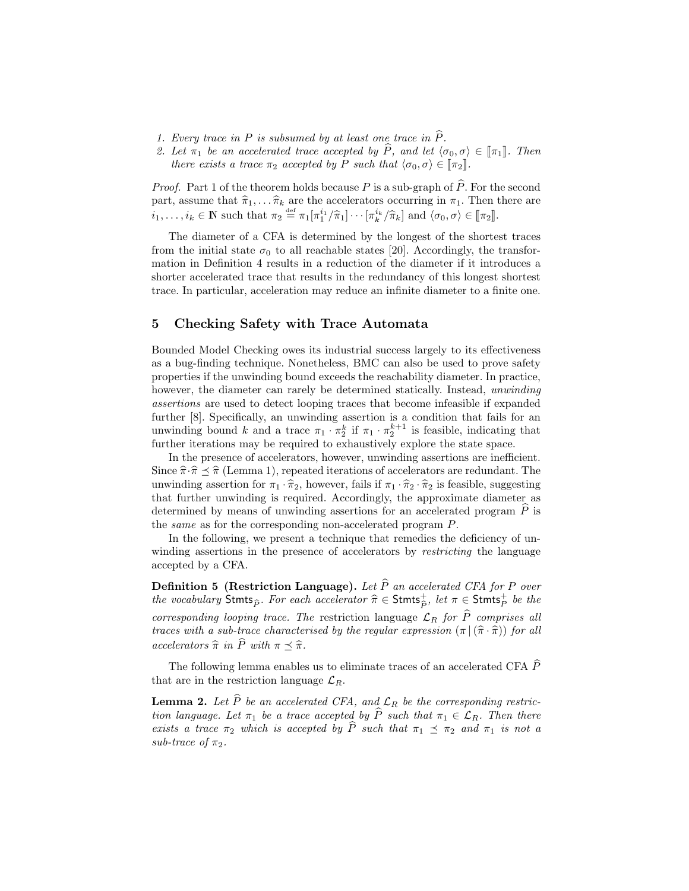- 1. Every trace in P is subsumed by at least one trace in  $\widehat{P}$ .
- 2. Let  $\pi_1$  be an accelerated trace accepted by  $\hat{P}$ , and let  $\langle \sigma_0, \sigma \rangle \in [\![\pi_1]\!]$ . Then there exists a trace  $\pi_2$  accepted by P such that  $\langle \sigma_0, \sigma \rangle \in [\![\pi_2]\!]$ .

*Proof.* Part 1 of the theorem holds because P is a sub-graph of  $\hat{P}$ . For the second part, assume that  $\hat{\pi}_1, \dots, \hat{\pi}_k$  are the accelerators occurring in  $\pi_1$ . Then there are  $i_1, \ldots, i_k \in \mathbb{N}$  such that  $\pi_2 \stackrel{\text{def}}{=} \pi_1[\pi_1^{i_1}/\widehat{\pi}_1] \cdots [\pi_k^{i_k}/\widehat{\pi}_k]$  and  $\langle \sigma_0, \sigma \rangle \in [\![\pi_2]\!]$ .

The diameter of a CFA is determined by the longest of the shortest traces from the initial state  $\sigma_0$  to all reachable states [20]. Accordingly, the transformation in Definition 4 results in a reduction of the diameter if it introduces a shorter accelerated trace that results in the redundancy of this longest shortest trace. In particular, acceleration may reduce an infinite diameter to a finite one.

## 5 Checking Safety with Trace Automata

Bounded Model Checking owes its industrial success largely to its effectiveness as a bug-finding technique. Nonetheless, BMC can also be used to prove safety properties if the unwinding bound exceeds the reachability diameter. In practice, however, the diameter can rarely be determined statically. Instead, *unwinding* assertions are used to detect looping traces that become infeasible if expanded further [8]. Specifically, an unwinding assertion is a condition that fails for an unwinding bound k and a trace  $\pi_1 \cdot \pi_2^k$  if  $\pi_1 \cdot \pi_2^{k+1}$  is feasible, indicating that further iterations may be required to exhaustively explore the state space.

In the presence of accelerators, however, unwinding assertions are inefficient. Since  $\hat{\pi} \cdot \hat{\pi} \preceq \hat{\pi}$  (Lemma 1), repeated iterations of accelerators are redundant. The unwinding assertion for  $\pi_1 \cdot \hat{\pi}_2$ , however, fails if  $\pi_1 \cdot \hat{\pi}_2 \cdot \hat{\pi}_2$  is feasible, suggesting that further unwinding is required. Accordingly, the approximate diameter as determined by means of unwinding assertions for an accelerated program  $\overline{P}$  is the same as for the corresponding non-accelerated program P.

In the following, we present a technique that remedies the deficiency of unwinding assertions in the presence of accelerators by restricting the language accepted by a CFA.

**Definition 5 (Restriction Language).** Let P an accelerated CFA for P over the vocabulary Stmts<sub> $\hat{P}$ </sub>. For each accelerator  $\hat{\pi} \in \mathsf{Stmts}_{\hat{P}}^+$ , let  $\pi \in \mathsf{Stmts}_{P}^+$  be the corresponding looping trace. The restriction language  $\mathcal{L}_R$  for  $\hat{P}$  comprises all traces with a sub-trace characterised by the regular expression  $(\pi |(\hat{\pi} \cdot \hat{\pi}))$  for all accelerators  $\widehat{\pi}$  in  $\widehat{P}$  with  $\pi \prec \widehat{\pi}$ .

The following lemma enables us to eliminate traces of an accelerated CFA  $\tilde{P}$ that are in the restriction language  $\mathcal{L}_R$ .

**Lemma 2.** Let  $\widehat{P}$  be an accelerated CFA, and  $\mathcal{L}_R$  be the corresponding restriction language. Let  $\pi_1$  be a trace accepted by  $\widehat{P}$  such that  $\pi_1 \in \mathcal{L}_R$ . Then there exists a trace  $\pi_2$  which is accepted by  $\hat{P}$  such that  $\pi_1 \preceq \pi_2$  and  $\pi_1$  is not a sub-trace of  $\pi_2$ .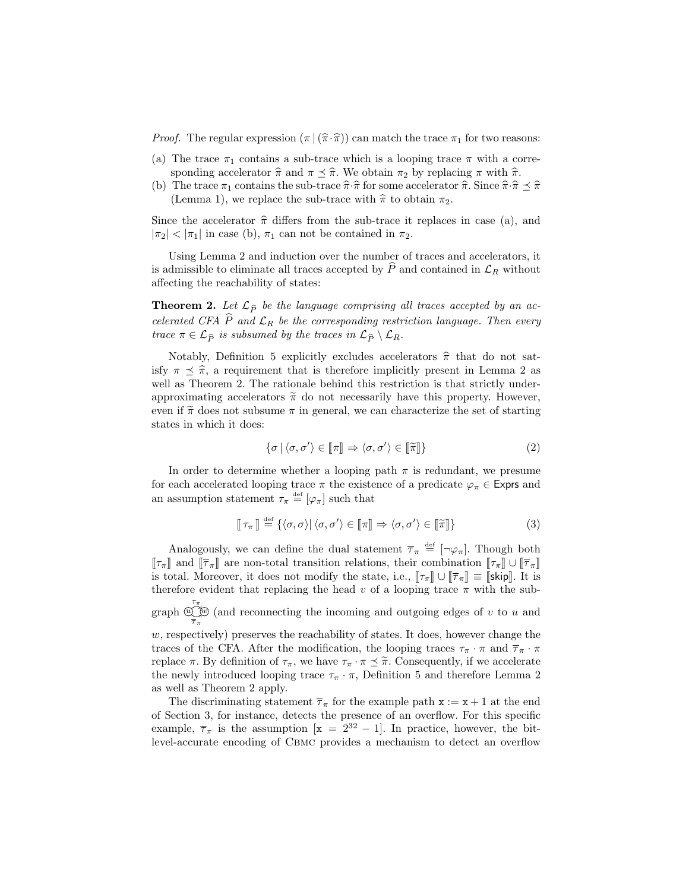*Proof.* The regular expression  $(\pi | (\hat{\pi} \cdot \hat{\pi}))$  can match the trace  $\pi_1$  for two reasons:

- (a) The trace  $\pi_1$  contains a sub-trace which is a looping trace  $\pi$  with a corresponding accelerator  $\hat{\pi}$  and  $\pi \leq \hat{\pi}$ . We obtain  $\pi_2$  by replacing  $\pi$  with  $\hat{\pi}$ .
- (b) The trace  $\pi_1$  contains the sub-trace  $\hat{\pi} \cdot \hat{\pi}$  for some accelerator  $\hat{\pi}$ . Since  $\hat{\pi} \cdot \hat{\pi} \preceq \hat{\pi}$ (Lemma 1), we replace the sub-trace with  $\hat{\pi}$  to obtain  $\pi_2$ .

Since the accelerator  $\hat{\pi}$  differs from the sub-trace it replaces in case (a), and  $|\pi_2| < |\pi_1|$  in case (b),  $\pi_1$  can not be contained in  $\pi_2$ .

Using Lemma 2 and induction over the number of traces and accelerators, it is admissible to eliminate all traces accepted by  $\tilde{P}$  and contained in  $\mathcal{L}_R$  without affecting the reachability of states:

**Theorem 2.** Let  $\mathcal{L}_{\hat{P}}$  be the language comprising all traces accepted by an accelerated CFA  $\hat{P}$  and  $\mathcal{L}_R$  be the corresponding restriction language. Then every trace  $\pi \in \mathcal{L}_{\widehat{P}}$  is subsumed by the traces in  $\mathcal{L}_{\widehat{P}} \setminus \mathcal{L}_R$ .

Notably, Definition 5 explicitly excludes accelerators  $\hat{\pi}$  that do not satisfy  $\pi \preceq \hat{\pi}$ , a requirement that is therefore implicitly present in Lemma 2 as well as Theorem 2. The rationale behind this restriction is that strictly underapproximating accelerators  $\tilde{\pi}$  do not necessarily have this property. However, even if  $\tilde{\pi}$  does not subsume  $\pi$  in general, we can characterize the set of starting states in which it does:

$$
\{\sigma \mid \langle \sigma, \sigma' \rangle \in [\![ \pi ]\!] \Rightarrow \langle \sigma, \sigma' \rangle \in [\![ \widetilde{\pi} ]\!] \}
$$
 (2)

In order to determine whether a looping path  $\pi$  is redundant, we presume for each accelerated looping trace  $\pi$  the existence of a predicate  $\varphi_{\pi} \in$  Exprs and an assumption statement  $\tau_{\pi} \stackrel{\text{def}}{=} [\varphi_{\pi}]$  such that

$$
\llbracket \tau_{\pi} \rrbracket \stackrel{\text{def}}{=} \{ \langle \sigma, \sigma \rangle | \langle \sigma, \sigma' \rangle \in \llbracket \pi \rrbracket \Rightarrow \langle \sigma, \sigma' \rangle \in \llbracket \widetilde{\pi} \rrbracket \} \tag{3}
$$

Analogously, we can define the dual statement  $\overline{\tau}_{\pi} \stackrel{\text{def}}{=} [\neg \varphi_{\pi}]$ . Though both  $[\![\tau_{\pi}]\!]$  and  $[\![\overline{\tau}_{\pi}]\!]$  are non-total transition relations, their combination  $[\![\tau_{\pi}]\!] \cup [\![\overline{\tau}_{\pi}]\!]$ is total. Moreover, it does not modify the state, i.e.,  $\llbracket \tau_{\pi} \rrbracket \cup \llbracket \overline{\tau}_{\pi} \rrbracket \equiv \llbracket \mathsf{skip} \rrbracket$ . It is therefore evident that replacing the head v of a looping trace  $\pi$  with the subgraph  $\mathbb{C} \mathbb{C}$  $\tau_{\pi}$  $\overline{\mathcal{L}}_{\overline{\tau}_{\pi}}$  (and reconnecting the incoming and outgoing edges of v to u and  $w$ , respectively) preserves the reachability of states. It does, however change the traces of the CFA. After the modification, the looping traces  $\tau_{\pi} \cdot \pi$  and  $\overline{\tau}_{\pi} \cdot \pi$ replace  $\pi$ . By definition of  $\tau_{\pi}$ , we have  $\tau_{\pi} \cdot \pi \preceq \tilde{\pi}$ . Consequently, if we accelerate the newly introduced looping trace  $\tau_{\pi} \cdot \pi$ , Definition 5 and therefore Lemma 2

The discriminating statement  $\overline{\tau}_{\pi}$  for the example path  $x := x + 1$  at the end of Section 3, for instance, detects the presence of an overflow. For this specific example,  $\overline{\tau}_{\pi}$  is the assumption [x =  $2^{32} - 1$ ]. In practice, however, the bitlevel-accurate encoding of Cbmc provides a mechanism to detect an overflow

as well as Theorem 2 apply.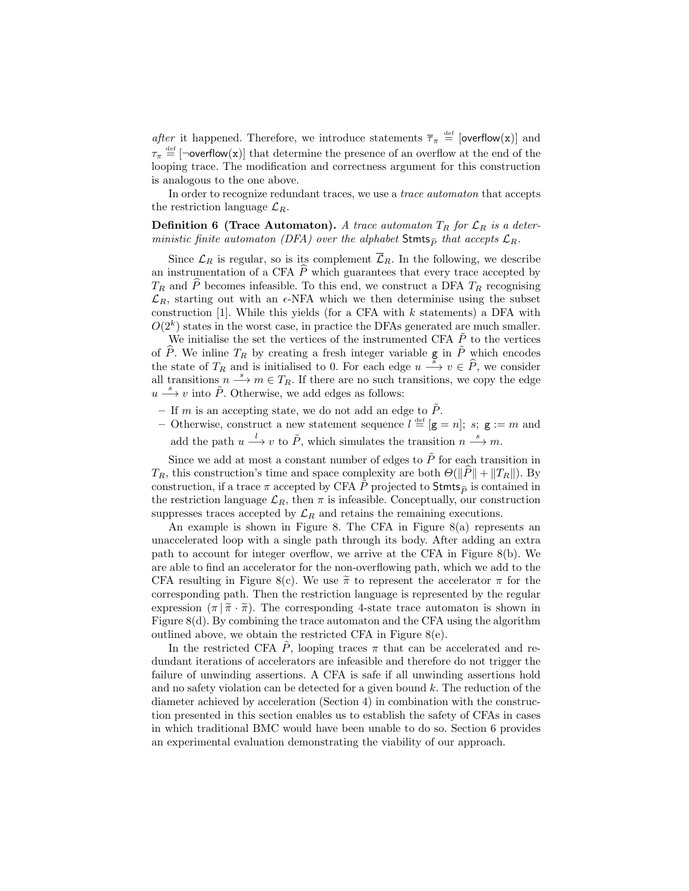after it happened. Therefore, we introduce statements  $\overline{\tau}_{\pi} \stackrel{\text{def}}{=}$  [overflow(x)] and  $\tau_{\pi} \stackrel{\text{def}}{=} [\neg \text{overflow}(\mathbf{x})]$  that determine the presence of an overflow at the end of the looping trace. The modification and correctness argument for this construction is analogous to the one above.

In order to recognize redundant traces, we use a trace automaton that accepts the restriction language  $\mathcal{L}_R$ .

**Definition 6 (Trace Automaton).** A trace automaton  $T_R$  for  $\mathcal{L}_R$  is a deterministic finite automaton (DFA) over the alphabet  $\mathsf{Stmts}_{\widehat{P}}$  that accepts  $\mathcal{L}_R$ .

Since  $\mathcal{L}_R$  is regular, so is its complement  $\overline{\mathcal{L}}_R$ . In the following, we describe an instrumentation of a CFA  $\widehat{P}$  which guarantees that every trace accepted by  $T_R$  and  $\hat{P}$  becomes infeasible. To this end, we construct a DFA  $T_R$  recognising  $\mathcal{L}_R$ , starting out with an  $\epsilon$ -NFA which we then determinise using the subset construction [1]. While this yields (for a CFA with  $k$  statements) a DFA with  $O(2<sup>k</sup>)$  states in the worst case, in practice the DFAs generated are much smaller.

We initialise the set the vertices of the instrumented CFA  $\tilde{P}$  to the vertices of  $\hat{P}$ . We inline  $T_R$  by creating a fresh integer variable g in  $\tilde{P}$  which encodes the state of  $T_R$  and is initialised to 0. For each edge  $u \xrightarrow{s} v \in \widehat{P}$ , we consider all transitions  $n \stackrel{s}{\longrightarrow} m \in T_R$ . If there are no such transitions, we copy the edge  $u \stackrel{s}{\longrightarrow} v$  into  $\tilde{P}$ . Otherwise, we add edges as follows:

- If m is an accepting state, we do not add an edge to  $\tilde{P}$ .
- Otherwise, construct a new statement sequence  $l \stackrel{\text{def}}{=} [\mathbf{g} = n]$ ; s;  $\mathbf{g} := m$  and add the path  $u \stackrel{l}{\longrightarrow} v$  to  $\tilde{P}$ , which simulates the transition  $n \stackrel{s}{\longrightarrow} m$ .

Since we add at most a constant number of edges to  $\tilde{P}$  for each transition in  $T_R$ , this construction's time and space complexity are both  $\Theta(||P|| + ||T_R||)$ . By construction, if a trace  $\pi$  accepted by CFA P projected to Stmts $\hat{p}$  is contained in the restriction language  $\mathcal{L}_R$ , then  $\pi$  is infeasible. Conceptually, our construction suppresses traces accepted by  $\mathcal{L}_R$  and retains the remaining executions.

An example is shown in Figure 8. The CFA in Figure 8(a) represents an unaccelerated loop with a single path through its body. After adding an extra path to account for integer overflow, we arrive at the CFA in Figure 8(b). We are able to find an accelerator for the non-overflowing path, which we add to the CFA resulting in Figure 8(c). We use  $\tilde{\pi}$  to represent the accelerator  $\pi$  for the corresponding path. Then the restriction language is represented by the regular expression  $(\pi | \tilde{\pi} \cdot \tilde{\pi})$ . The corresponding 4-state trace automaton is shown in Figure  $8(d)$ . By combining the trace automaton and the CFA using the algorithm outlined above, we obtain the restricted CFA in Figure 8(e).

In the restricted CFA  $\ddot{P}$ , looping traces  $\pi$  that can be accelerated and redundant iterations of accelerators are infeasible and therefore do not trigger the failure of unwinding assertions. A CFA is safe if all unwinding assertions hold and no safety violation can be detected for a given bound  $k$ . The reduction of the diameter achieved by acceleration (Section 4) in combination with the construction presented in this section enables us to establish the safety of CFAs in cases in which traditional BMC would have been unable to do so. Section 6 provides an experimental evaluation demonstrating the viability of our approach.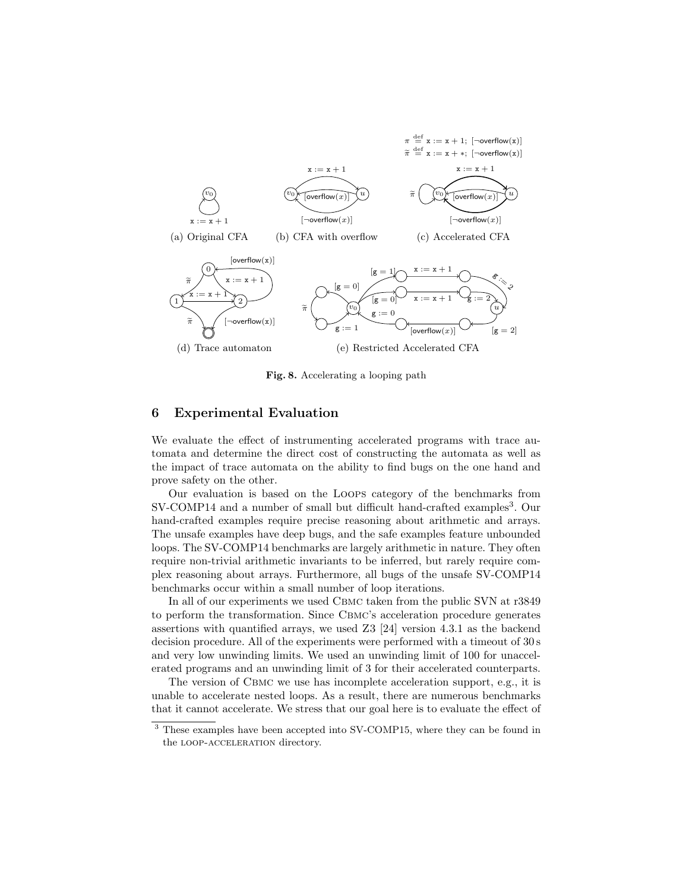

Fig. 8. Accelerating a looping path

## 6 Experimental Evaluation

We evaluate the effect of instrumenting accelerated programs with trace automata and determine the direct cost of constructing the automata as well as the impact of trace automata on the ability to find bugs on the one hand and prove safety on the other.

Our evaluation is based on the Loops category of the benchmarks from SV-COMP14 and a number of small but difficult hand-crafted examples<sup>3</sup>. Our hand-crafted examples require precise reasoning about arithmetic and arrays. The unsafe examples have deep bugs, and the safe examples feature unbounded loops. The SV-COMP14 benchmarks are largely arithmetic in nature. They often require non-trivial arithmetic invariants to be inferred, but rarely require complex reasoning about arrays. Furthermore, all bugs of the unsafe SV-COMP14 benchmarks occur within a small number of loop iterations.

In all of our experiments we used CBMC taken from the public SVN at r3849 to perform the transformation. Since Cbmc's acceleration procedure generates assertions with quantified arrays, we used Z3 [24] version 4.3.1 as the backend decision procedure. All of the experiments were performed with a timeout of 30 s and very low unwinding limits. We used an unwinding limit of 100 for unaccelerated programs and an unwinding limit of 3 for their accelerated counterparts.

The version of Cbmc we use has incomplete acceleration support, e.g., it is unable to accelerate nested loops. As a result, there are numerous benchmarks that it cannot accelerate. We stress that our goal here is to evaluate the effect of

<sup>&</sup>lt;sup>3</sup> These examples have been accepted into SV-COMP15, where they can be found in the loop-acceleration directory.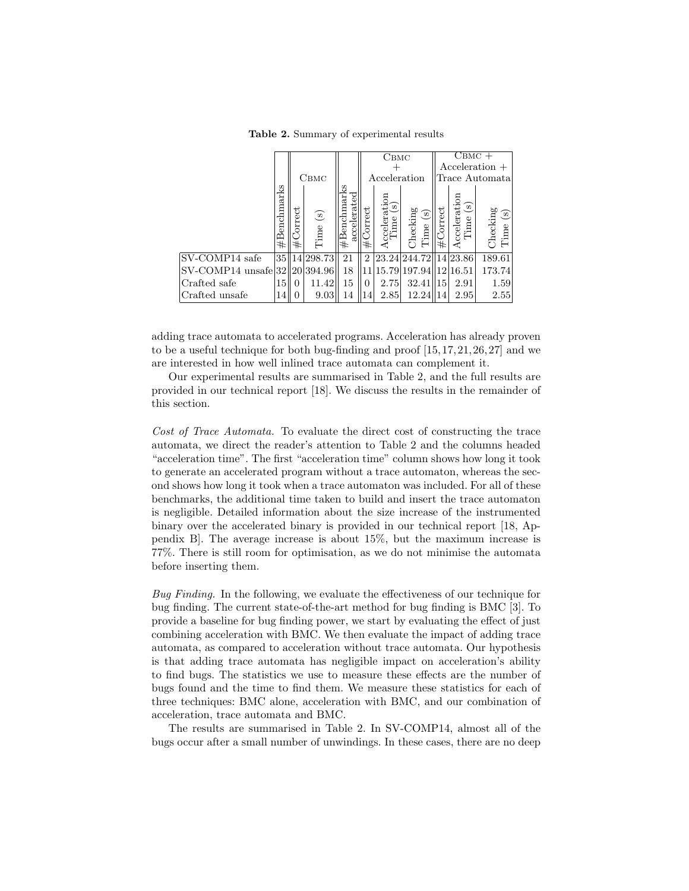Table 2. Summary of experimental results

|                     |                         | CBMC     |                 |                                      | CBMC<br>Acceleration |                                                                          | $_{\rm CBMC}$ +<br>Acceleration +<br>Trace Automata |                      |                                            |                                   |
|---------------------|-------------------------|----------|-----------------|--------------------------------------|----------------------|--------------------------------------------------------------------------|-----------------------------------------------------|----------------------|--------------------------------------------|-----------------------------------|
|                     | $\#\mathrm{Benchmarks}$ | #Correct | $\odot$<br>Time | $\#\text{Benchmarks}$<br>accelerated | Correct<br>¥         | cceleration<br>Time $\left(\begin{matrix} s \\ s \\ \end{matrix}\right)$ | Checking<br>⊛<br>Time                               | $\#\mathrm{Correct}$ | Acceleration<br>ଇ<br>$\operatorname{Time}$ | Checking<br>$\circledast$<br>Time |
| SV-COMP14 safe      | 35 <sub>l</sub>         |          | 14 298.73       | 21                                   | $\overline{2}$       | 23.24                                                                    | 244.72                                              |                      | 14 23.86                                   | 189.61                            |
| SV-COMP14 unsafe 32 |                         |          | 20 394.96       | 18                                   |                      | 15.79                                                                    | 197.94                                              |                      | 12 16.51                                   | 173.74                            |
| Crafted safe        | 15                      | 0        | 11.42           | 15                                   | $\theta$             | 2.75                                                                     | 32.41                                               | 15                   | 2.91                                       | 1.59                              |
| Crafted unsafe      | 14                      | 0        | 9.03            | 14                                   | 14                   | 2.85                                                                     | 12.24                                               | 14                   | 2.95                                       | 2.55                              |

adding trace automata to accelerated programs. Acceleration has already proven to be a useful technique for both bug-finding and proof [15, 17, 21, 26, 27] and we are interested in how well inlined trace automata can complement it.

Our experimental results are summarised in Table 2, and the full results are provided in our technical report [18]. We discuss the results in the remainder of this section.

Cost of Trace Automata. To evaluate the direct cost of constructing the trace automata, we direct the reader's attention to Table 2 and the columns headed "acceleration time". The first "acceleration time" column shows how long it took to generate an accelerated program without a trace automaton, whereas the second shows how long it took when a trace automaton was included. For all of these benchmarks, the additional time taken to build and insert the trace automaton is negligible. Detailed information about the size increase of the instrumented binary over the accelerated binary is provided in our technical report [18, Appendix B]. The average increase is about 15%, but the maximum increase is 77%. There is still room for optimisation, as we do not minimise the automata before inserting them.

Bug Finding. In the following, we evaluate the effectiveness of our technique for bug finding. The current state-of-the-art method for bug finding is BMC [3]. To provide a baseline for bug finding power, we start by evaluating the effect of just combining acceleration with BMC. We then evaluate the impact of adding trace automata, as compared to acceleration without trace automata. Our hypothesis is that adding trace automata has negligible impact on acceleration's ability to find bugs. The statistics we use to measure these effects are the number of bugs found and the time to find them. We measure these statistics for each of three techniques: BMC alone, acceleration with BMC, and our combination of acceleration, trace automata and BMC.

The results are summarised in Table 2. In SV-COMP14, almost all of the bugs occur after a small number of unwindings. In these cases, there are no deep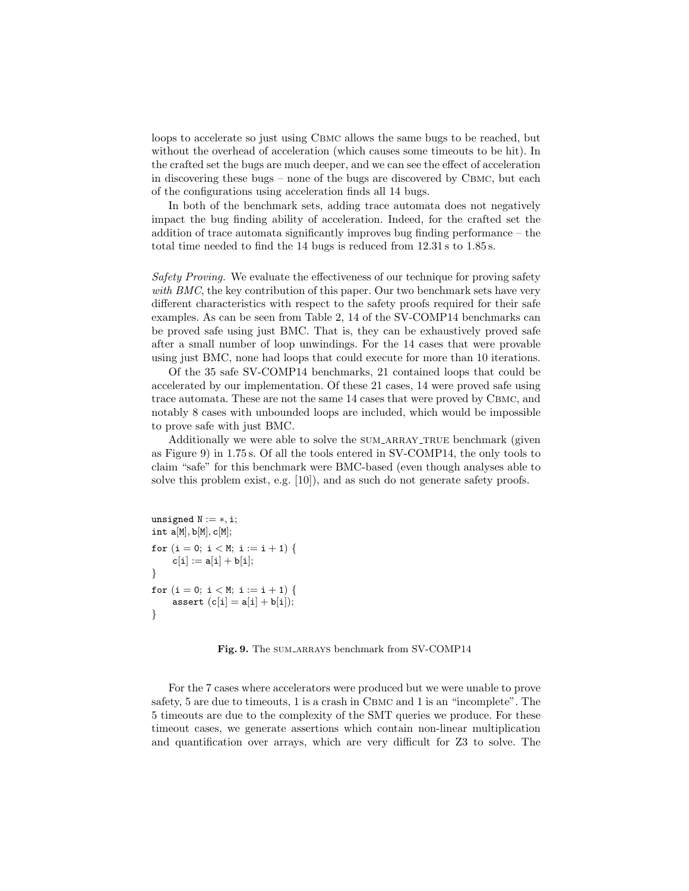loops to accelerate so just using Cbmc allows the same bugs to be reached, but without the overhead of acceleration (which causes some timeouts to be hit). In the crafted set the bugs are much deeper, and we can see the effect of acceleration in discovering these bugs – none of the bugs are discovered by CBMC, but each of the configurations using acceleration finds all 14 bugs.

In both of the benchmark sets, adding trace automata does not negatively impact the bug finding ability of acceleration. Indeed, for the crafted set the addition of trace automata significantly improves bug finding performance – the total time needed to find the 14 bugs is reduced from 12.31 s to 1.85 s.

Safety Proving. We evaluate the effectiveness of our technique for proving safety with  $BMC$ , the key contribution of this paper. Our two benchmark sets have very different characteristics with respect to the safety proofs required for their safe examples. As can be seen from Table 2, 14 of the SV-COMP14 benchmarks can be proved safe using just BMC. That is, they can be exhaustively proved safe after a small number of loop unwindings. For the 14 cases that were provable using just BMC, none had loops that could execute for more than 10 iterations.

Of the 35 safe SV-COMP14 benchmarks, 21 contained loops that could be accelerated by our implementation. Of these 21 cases, 14 were proved safe using trace automata. These are not the same 14 cases that were proved by Cbmc, and notably 8 cases with unbounded loops are included, which would be impossible to prove safe with just BMC.

Additionally we were able to solve the SUM\_ARRAY\_TRUE benchmark (given as Figure 9) in 1.75 s. Of all the tools entered in SV-COMP14, the only tools to claim "safe" for this benchmark were BMC-based (even though analyses able to solve this problem exist, e.g. [10]), and as such do not generate safety proofs.

unsigned  $N := *, i;$ int  $a[M], b[M], c[M];$ for  $(i = 0; i < M; i := i + 1)$  {  $c[i] := a[i] + b[i];$ } for  $(i = 0; i < M; i := i + 1)$  { assert  $(c[i] = a[i] + b[i]);$ }

Fig. 9. The SUM\_ARRAYS benchmark from SV-COMP14

For the 7 cases where accelerators were produced but we were unable to prove safety, 5 are due to timeouts, 1 is a crash in CBMC and 1 is an "incomplete". The 5 timeouts are due to the complexity of the SMT queries we produce. For these timeout cases, we generate assertions which contain non-linear multiplication and quantification over arrays, which are very difficult for Z3 to solve. The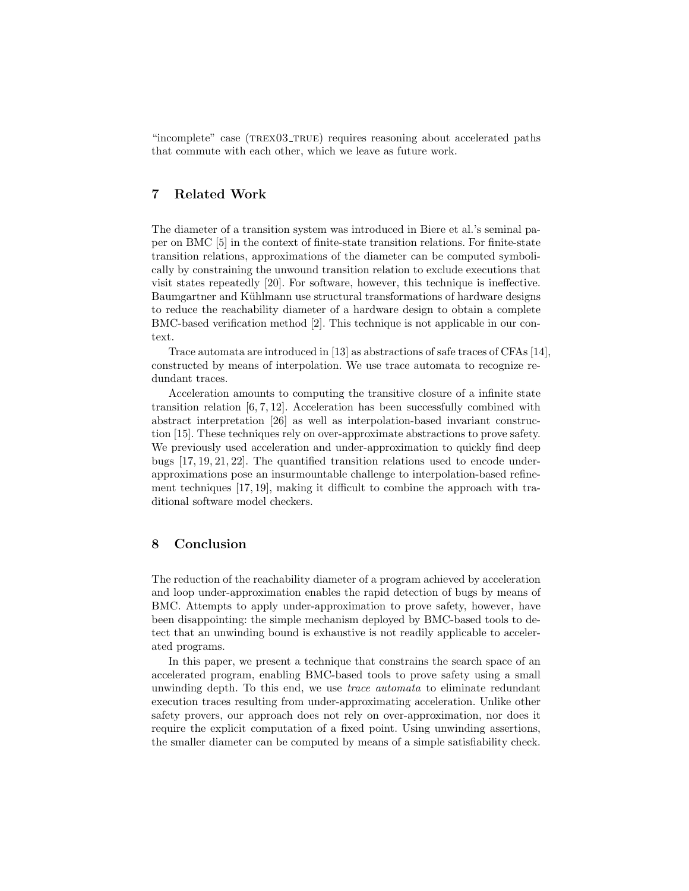"incomplete" case (TREX03\_TRUE) requires reasoning about accelerated paths that commute with each other, which we leave as future work.

## 7 Related Work

The diameter of a transition system was introduced in Biere et al.'s seminal paper on BMC [5] in the context of finite-state transition relations. For finite-state transition relations, approximations of the diameter can be computed symbolically by constraining the unwound transition relation to exclude executions that visit states repeatedly [20]. For software, however, this technique is ineffective. Baumgartner and Kühlmann use structural transformations of hardware designs to reduce the reachability diameter of a hardware design to obtain a complete BMC-based verification method [2]. This technique is not applicable in our context.

Trace automata are introduced in [13] as abstractions of safe traces of CFAs [14], constructed by means of interpolation. We use trace automata to recognize redundant traces.

Acceleration amounts to computing the transitive closure of a infinite state transition relation  $[6, 7, 12]$ . Acceleration has been successfully combined with abstract interpretation [26] as well as interpolation-based invariant construction [15]. These techniques rely on over-approximate abstractions to prove safety. We previously used acceleration and under-approximation to quickly find deep bugs [17, 19, 21, 22]. The quantified transition relations used to encode underapproximations pose an insurmountable challenge to interpolation-based refinement techniques [17, 19], making it difficult to combine the approach with traditional software model checkers.

## 8 Conclusion

The reduction of the reachability diameter of a program achieved by acceleration and loop under-approximation enables the rapid detection of bugs by means of BMC. Attempts to apply under-approximation to prove safety, however, have been disappointing: the simple mechanism deployed by BMC-based tools to detect that an unwinding bound is exhaustive is not readily applicable to accelerated programs.

In this paper, we present a technique that constrains the search space of an accelerated program, enabling BMC-based tools to prove safety using a small unwinding depth. To this end, we use trace automata to eliminate redundant execution traces resulting from under-approximating acceleration. Unlike other safety provers, our approach does not rely on over-approximation, nor does it require the explicit computation of a fixed point. Using unwinding assertions, the smaller diameter can be computed by means of a simple satisfiability check.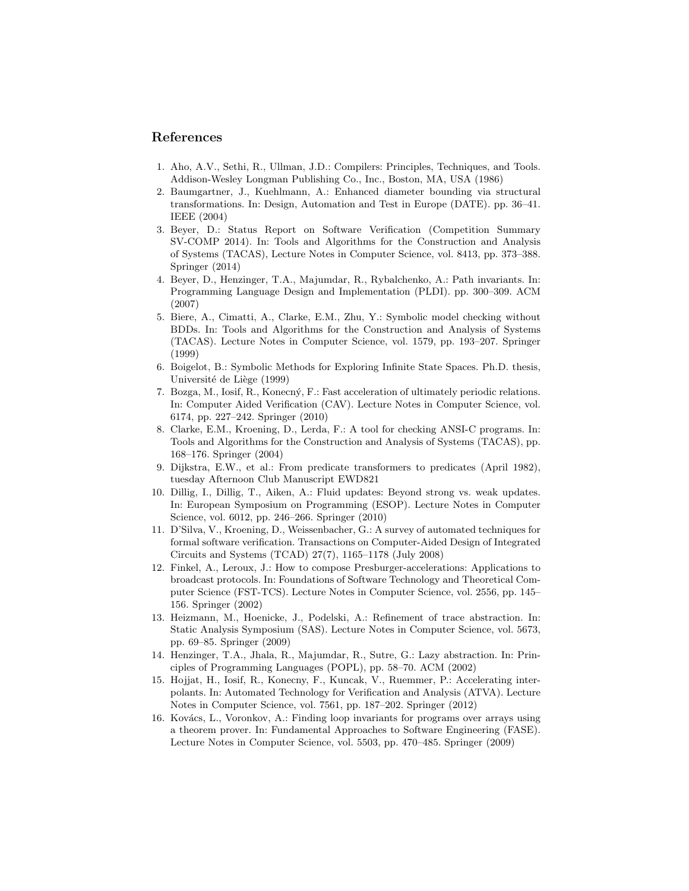#### References

- 1. Aho, A.V., Sethi, R., Ullman, J.D.: Compilers: Principles, Techniques, and Tools. Addison-Wesley Longman Publishing Co., Inc., Boston, MA, USA (1986)
- 2. Baumgartner, J., Kuehlmann, A.: Enhanced diameter bounding via structural transformations. In: Design, Automation and Test in Europe (DATE). pp. 36–41. IEEE (2004)
- 3. Beyer, D.: Status Report on Software Verification (Competition Summary SV-COMP 2014). In: Tools and Algorithms for the Construction and Analysis of Systems (TACAS), Lecture Notes in Computer Science, vol. 8413, pp. 373–388. Springer (2014)
- 4. Beyer, D., Henzinger, T.A., Majumdar, R., Rybalchenko, A.: Path invariants. In: Programming Language Design and Implementation (PLDI). pp. 300–309. ACM (2007)
- 5. Biere, A., Cimatti, A., Clarke, E.M., Zhu, Y.: Symbolic model checking without BDDs. In: Tools and Algorithms for the Construction and Analysis of Systems (TACAS). Lecture Notes in Computer Science, vol. 1579, pp. 193–207. Springer (1999)
- 6. Boigelot, B.: Symbolic Methods for Exploring Infinite State Spaces. Ph.D. thesis, Université de Liège (1999)
- 7. Bozga, M., Iosif, R., Konecn´y, F.: Fast acceleration of ultimately periodic relations. In: Computer Aided Verification (CAV). Lecture Notes in Computer Science, vol. 6174, pp. 227–242. Springer (2010)
- 8. Clarke, E.M., Kroening, D., Lerda, F.: A tool for checking ANSI-C programs. In: Tools and Algorithms for the Construction and Analysis of Systems (TACAS), pp. 168–176. Springer (2004)
- 9. Dijkstra, E.W., et al.: From predicate transformers to predicates (April 1982), tuesday Afternoon Club Manuscript EWD821
- 10. Dillig, I., Dillig, T., Aiken, A.: Fluid updates: Beyond strong vs. weak updates. In: European Symposium on Programming (ESOP). Lecture Notes in Computer Science, vol. 6012, pp. 246–266. Springer (2010)
- 11. D'Silva, V., Kroening, D., Weissenbacher, G.: A survey of automated techniques for formal software verification. Transactions on Computer-Aided Design of Integrated Circuits and Systems (TCAD) 27(7), 1165–1178 (July 2008)
- 12. Finkel, A., Leroux, J.: How to compose Presburger-accelerations: Applications to broadcast protocols. In: Foundations of Software Technology and Theoretical Computer Science (FST-TCS). Lecture Notes in Computer Science, vol. 2556, pp. 145– 156. Springer (2002)
- 13. Heizmann, M., Hoenicke, J., Podelski, A.: Refinement of trace abstraction. In: Static Analysis Symposium (SAS). Lecture Notes in Computer Science, vol. 5673, pp. 69–85. Springer (2009)
- 14. Henzinger, T.A., Jhala, R., Majumdar, R., Sutre, G.: Lazy abstraction. In: Principles of Programming Languages (POPL), pp. 58–70. ACM (2002)
- 15. Hojjat, H., Iosif, R., Konecny, F., Kuncak, V., Ruemmer, P.: Accelerating interpolants. In: Automated Technology for Verification and Analysis (ATVA). Lecture Notes in Computer Science, vol. 7561, pp. 187–202. Springer (2012)
- 16. Kovács, L., Voronkov, A.: Finding loop invariants for programs over arrays using a theorem prover. In: Fundamental Approaches to Software Engineering (FASE). Lecture Notes in Computer Science, vol. 5503, pp. 470–485. Springer (2009)